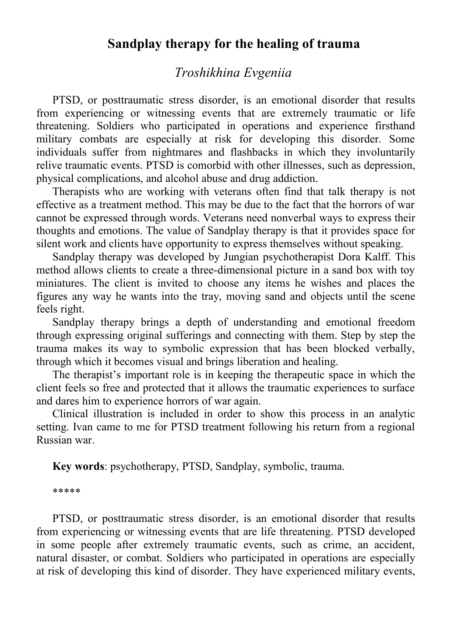## **Sandplay therapy for the healing of trauma**

# *Troshikhina Evgeniia*

PTSD, or posttraumatic stress disorder, is an emotional disorder that results from experiencing or witnessing events that are extremely traumatic or life threatening. Soldiers who participated in operations and experience firsthand military combats are especially at risk for developing this disorder. Some individuals suffer from nightmares and flashbacks in which they involuntarily relive traumatic events. PTSD is comorbid with other illnesses, such as depression, physical complications, and alcohol abuse and drug addiction.

Therapists who are working with veterans often find that talk therapy is not effective as a treatment method. This may be due to the fact that the horrors of war cannot be expressed through words. Veterans need nonverbal ways to express their thoughts and emotions. The value of Sandplay therapy is that it provides space for silent work and clients have opportunity to express themselves without speaking.

Sandplay therapy was developed by Jungian psychotherapist Dora Kalff. This method allows clients to create a three-dimensional picture in a sand box with toy miniatures. The client is invited to choose any items he wishes and places the figures any way he wants into the tray, moving sand and objects until the scene feels right.

Sandplay therapy brings a depth of understanding and emotional freedom through expressing original sufferings and connecting with them. Step by step the trauma makes its way to symbolic expression that has been blocked verbally, through which it becomes visual and brings liberation and healing.

The therapist's important role is in keeping the therapeutic space in which the client feels so free and protected that it allows the traumatic experiences to surface and dares him to experience horrors of war again.

Clinical illustration is included in order to show this process in an analytic setting. Ivan came to me for PTSD treatment following his return from a regional Russian war.

**Key words**: psychotherapy, PTSD, Sandplay, symbolic, trauma.

\*\*\*\*\*

PTSD, or posttraumatic stress disorder, is an emotional disorder that results from experiencing or witnessing events that are life threatening. PTSD developed in some people after extremely traumatic events, such as crime, an accident, natural disaster, or combat. Soldiers who participated in operations are especially at risk of developing this kind of disorder. They have experienced military events,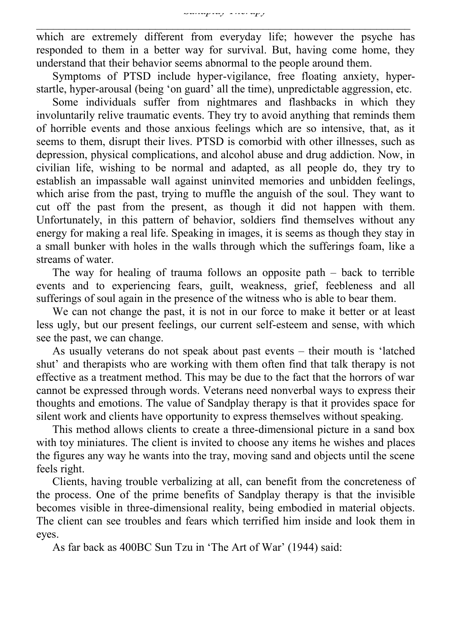which are extremely different from everyday life; however the psyche has responded to them in a better way for survival. But, having come home, they understand that their behavior seems abnormal to the people around them.

Symptoms of PTSD include hyper-vigilance, free floating anxiety, hyperstartle, hyper-arousal (being 'on guard' all the time), unpredictable aggression, etc.

Some individuals suffer from nightmares and flashbacks in which they involuntarily relive traumatic events. They try to avoid anything that reminds them of horrible events and those anxious feelings which are so intensive, that, as it seems to them, disrupt their lives. PTSD is comorbid with other illnesses, such as depression, physical complications, and alcohol abuse and drug addiction. Now, in civilian life, wishing to be normal and adapted, as all people do, they try to establish an impassable wall against uninvited memories and unbidden feelings, which arise from the past, trying to muffle the anguish of the soul. They want to cut off the past from the present, as though it did not happen with them. Unfortunately, in this pattern of behavior, soldiers find themselves without any energy for making a real life. Speaking in images, it is seems as though they stay in a small bunker with holes in the walls through which the sufferings foam, like a streams of water.

The way for healing of trauma follows an opposite path  $-$  back to terrible events and to experiencing fears, guilt, weakness, grief, feebleness and all sufferings of soul again in the presence of the witness who is able to bear them.

We can not change the past, it is not in our force to make it better or at least less ugly, but our present feelings, our current self-esteem and sense, with which see the past, we can change.

As usually veterans do not speak about past events – their mouth is 'latched shut' and therapists who are working with them often find that talk therapy is not effective as a treatment method. This may be due to the fact that the horrors of war cannot be expressed through words. Veterans need nonverbal ways to express their thoughts and emotions. The value of Sandplay therapy is that it provides space for silent work and clients have opportunity to express themselves without speaking.

This method allows clients to create a three-dimensional picture in a sand box with toy miniatures. The client is invited to choose any items he wishes and places the figures any way he wants into the tray, moving sand and objects until the scene feels right.

Clients, having trouble verbalizing at all, can benefit from the concreteness of the process. One of the prime benefits of Sandplay therapy is that the invisible becomes visible in three-dimensional reality, being embodied in material objects. The client can see troubles and fears which terrified him inside and look them in eyes.

As far back as 400BC Sun Tzu in 'The Art of War' (1944) said: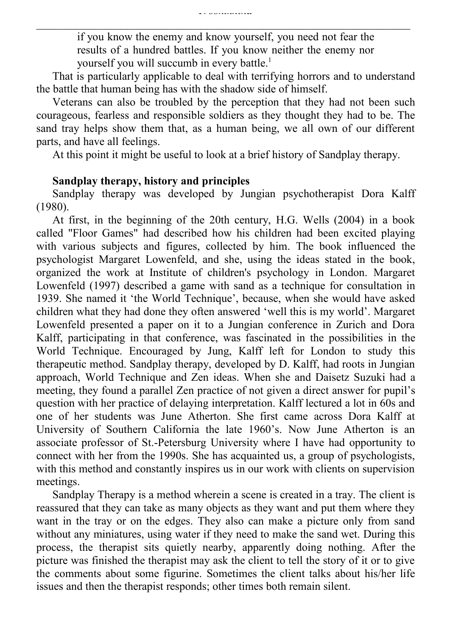if you know the enemy and know yourself, you need not fear the results of a hundred battles. If you know neither the enemy nor yourself you will succumb in every battle.<sup>1</sup>

That is particularly applicable to deal with terrifying horrors and to understand the battle that human being has with the shadow side of himself.

Veterans can also be troubled by the perception that they had not been such courageous, fearless and responsible soldiers as they thought they had to be. The sand tray helps show them that, as a human being, we all own of our different parts, and have all feelings.

At this point it might be useful to look at a brief history of Sandplay therapy.

### **Sandplay therapy, history and principles**

Sandplay therapy was developed by Jungian psychotherapist Dora Kalff (1980).

At first, in the beginning of the 20th century, H.G. Wells (2004) in a book called "Floor Games" had described how his children had been excited playing with various subjects and figures, collected by him. The book influenced the psychologist Margaret Lowenfeld, and she, using the ideas stated in the book, organized the work at Institute of children's psychology in London. Margaret Lowenfeld (1997) described a game with sand as a technique for consultation in 1939. She named it 'the World Technique', because, when she would have asked children what they had done they often answered 'well this is my world'. Margaret Lowenfeld presented a paper on it to a Jungian conference in Zurich and Dora Kalff, participating in that conference, was fascinated in the possibilities in the World Technique. Encouraged by Jung, Kalff left for London to study this therapeutic method. Sandplay therapy, developed by D. Kalff, had roots in Jungian approach, World Technique and Zen ideas. When she and Daisetz Suzuki had a meeting, they found a parallel Zen practice of not given a direct answer for pupil's question with her practice of delaying interpretation. Kalff lectured a lot in 60s and one of her students was June Atherton. She first came across Dora Kalff at University of Southern California the late 1960's. Now June Atherton is an associate professor of St.-Petersburg University where I have had opportunity to connect with her from the 1990s. She has acquainted us, a group of psychologists, with this method and constantly inspires us in our work with clients on supervision meetings.

Sandplay Therapy is a method wherein a scene is created in a tray. The client is reassured that they can take as many objects as they want and put them where they want in the tray or on the edges. They also can make a picture only from sand without any miniatures, using water if they need to make the sand wet. During this process, the therapist sits quietly nearby, apparently doing nothing. After the picture was finished the therapist may ask the client to tell the story of it or to give the comments about some figurine. Sometimes the client talks about his/her life issues and then the therapist responds; other times both remain silent.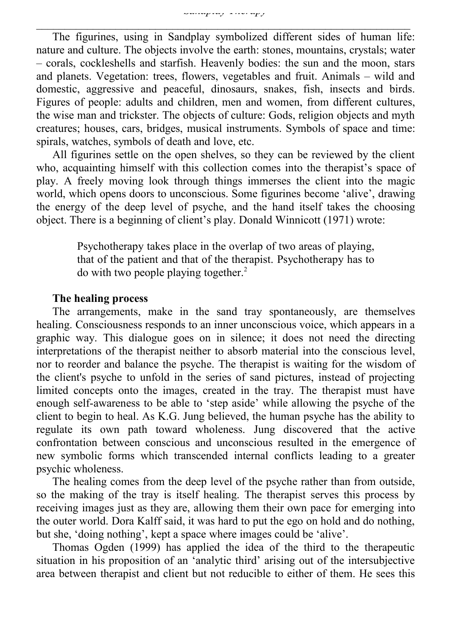The figurines, using in Sandplay symbolized different sides of human life: nature and culture. The objects involve the earth: stones, mountains, crystals; water – corals, cockleshells and starfish. Heavenly bodies: the sun and the moon, stars and planets. Vegetation: trees, flowers, vegetables and fruit. Animals – wild and domestic, aggressive and peaceful, dinosaurs, snakes, fish, insects and birds. Figures of people: adults and children, men and women, from different cultures, the wise man and trickster. The objects of culture: Gods, religion objects and myth creatures; houses, cars, bridges, musical instruments. Symbols of space and time: spirals, watches, symbols of death and love, etc.

All figurines settle on the open shelves, so they can be reviewed by the client who, acquainting himself with this collection comes into the therapist's space of play. A freely moving look through things immerses the client into the magic world, which opens doors to unconscious. Some figurines become 'alive', drawing the energy of the deep level of psyche, and the hand itself takes the choosing object. There is a beginning of client's play. Donald Winnicott (1971) wrote:

> Psychotherapy takes place in the overlap of two areas of playing, that of the patient and that of the therapist. Psychotherapy has to do with two people playing together.<sup>2</sup>

#### **The healing process**

The arrangements, make in the sand tray spontaneously, are themselves healing. Consciousness responds to an inner unconscious voice, which appears in a graphic way. This dialogue goes on in silence; it does not need the directing interpretations of the therapist neither to absorb material into the conscious level, nor to reorder and balance the psyche. The therapist is waiting for the wisdom of the client's psyche to unfold in the series of sand pictures, instead of projecting limited concepts onto the images, created in the tray. The therapist must have enough self-awareness to be able to 'step aside' while allowing the psyche of the client to begin to heal. As K.G. Jung believed, the human psyche has the ability to regulate its own path toward wholeness. Jung discovered that the active confrontation between conscious and unconscious resulted in the emergence of new symbolic forms which transcended internal conflicts leading to a greater psychic wholeness.

The healing comes from the deep level of the psyche rather than from outside, so the making of the tray is itself healing. The therapist serves this process by receiving images just as they are, allowing them their own pace for emerging into the outer world. Dora Kalff said, it was hard to put the ego on hold and do nothing, but she, 'doing nothing', kept a space where images could be 'alive'.

Thomas Ogden (1999) has applied the idea of the third to the therapeutic situation in his proposition of an 'analytic third' arising out of the intersubjective area between therapist and client but not reducible to either of them. He sees this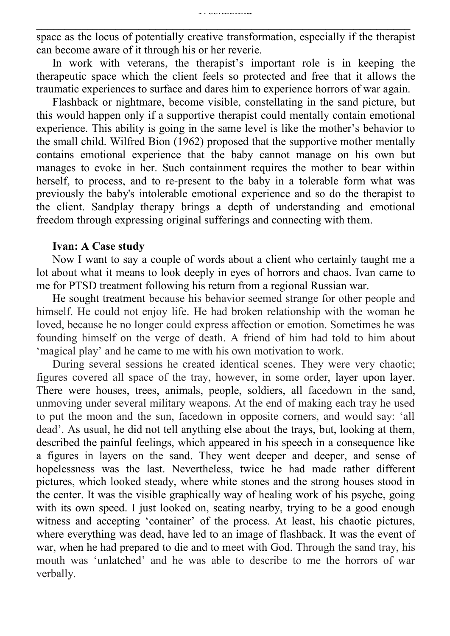space as the locus of potentially creative transformation, especially if the therapist can become aware of it through his or her reverie.

In work with veterans, the therapist's important role is in keeping the therapeutic space which the client feels so protected and free that it allows the traumatic experiences to surface and dares him to experience horrors of war again.

Flashback or nightmare, become visible, constellating in the sand picture, but this would happen only if a supportive therapist could mentally contain emotional experience. This ability is going in the same level is like the mother's behavior to the small child. Wilfred Bion (1962) proposed that the supportive mother mentally contains emotional experience that the baby cannot manage on his own but manages to evoke in her. Such containment requires the mother to bear within herself, to process, and to re-present to the baby in a tolerable form what was previously the baby's intolerable emotional experience and so do the therapist to the client. Sandplay therapy brings a depth of understanding and emotional freedom through expressing original sufferings and connecting with them.

## **Ivan: A Case study**

Now I want to say a couple of words about a client who certainly taught me a lot about what it means to look deeply in eyes of horrors and chaos. Ivan came to me for PTSD treatment following his return from a regional Russian war.

He sought treatment because his behavior seemed strange for other people and himself. He could not enjoy life. He had broken relationship with the woman he loved, because he no longer could express affection or emotion. Sometimes he was founding himself on the verge of death. A friend of him had told to him about 'magical play' and he came to me with his own motivation to work.

During several sessions he created identical scenes. They were very chaotic; figures covered all space of the tray, however, in some order, layer upon layer. There were houses, trees, animals, people, soldiers, all facedown in the sand, unmoving under several military weapons. At the end of making each tray he used to put the moon and the sun, facedown in opposite corners, and would say: 'all dead'. As usual, he did not tell anything else about the trays, but, looking at them, described the painful feelings, which appeared in his speech in a consequence like a figures in layers on the sand. They went deeper and deeper, and sense of hopelessness was the last. Nevertheless, twice he had made rather different pictures, which looked steady, where white stones and the strong houses stood in the center. It was the visible graphically way of healing work of his psyche, going with its own speed. I just looked on, seating nearby, trying to be a good enough witness and accepting 'container' of the process. At least, his chaotic pictures, where everything was dead, have led to an image of flashback. It was the event of war, when he had prepared to die and to meet with God. Through the sand tray, his mouth was 'unlatched' and he was able to describe to me the horrors of war verbally.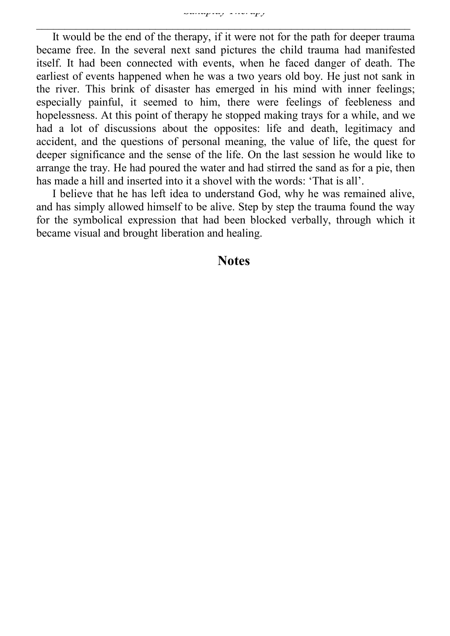It would be the end of the therapy, if it were not for the path for deeper trauma became free. In the several next sand pictures the child trauma had manifested itself. It had been connected with events, when he faced danger of death. The earliest of events happened when he was a two years old boy. He just not sank in the river. This brink of disaster has emerged in his mind with inner feelings; especially painful, it seemed to him, there were feelings of feebleness and hopelessness. At this point of therapy he stopped making trays for a while, and we had a lot of discussions about the opposites: life and death, legitimacy and accident, and the questions of personal meaning, the value of life, the quest for deeper significance and the sense of the life. On the last session he would like to arrange the tray. He had poured the water and had stirred the sand as for a pie, then has made a hill and inserted into it a shovel with the words: 'That is all'.

I believe that he has left idea to understand God, why he was remained alive, and has simply allowed himself to be alive. Step by step the trauma found the way for the symbolical expression that had been blocked verbally, through which it became visual and brought liberation and healing.

## **Notes**